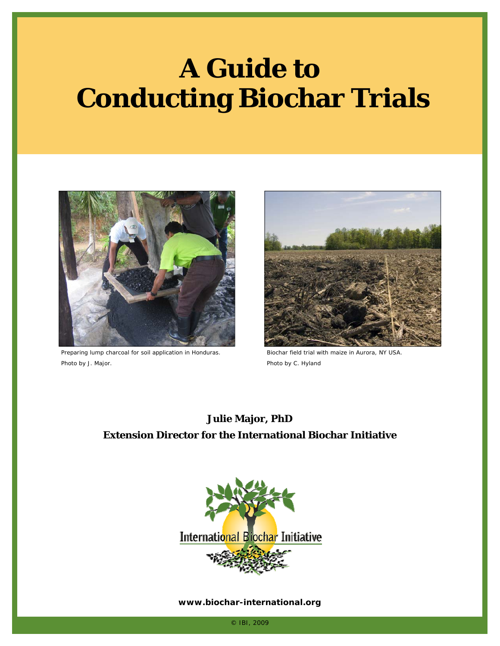# **A Guide to Conducting Biochar Trials**



Preparing lump charcoal for soil application in Honduras. Photo by J. Major.



Biochar field trial with maize in Aurora, NY USA. Photo by C. Hyland

#### **Julie Major, PhD Extension Director for the International Biochar Initiative**



#### **www.biochar-international.org**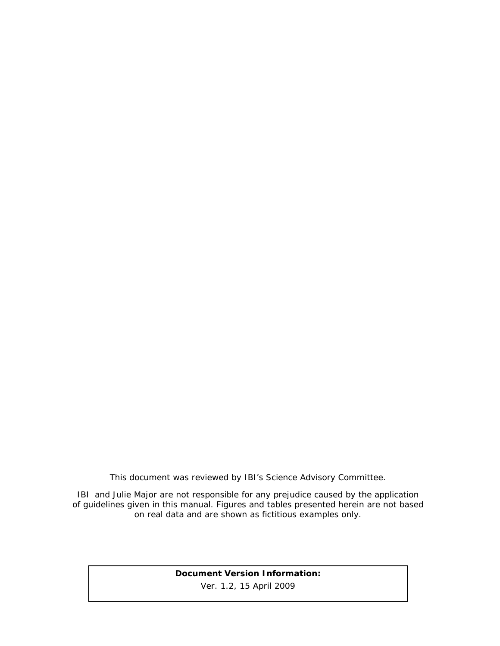*This document was reviewed by IBI's Science Advisory Committee.* 

*IBI and Julie Major are not responsible for any prejudice caused by the application of guidelines given in this manual. Figures and tables presented herein are not based on real data and are shown as fictitious examples only.* 

#### **Document Version Information:**  Ver. 1.2, 15 April 2009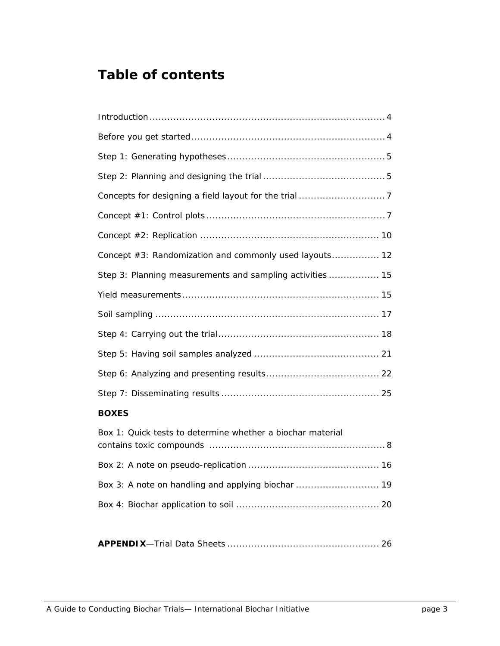### **Table of contents**

#### **BOXES**

| Box 1: Quick tests to determine whether a biochar material |  |
|------------------------------------------------------------|--|
|                                                            |  |
|                                                            |  |
|                                                            |  |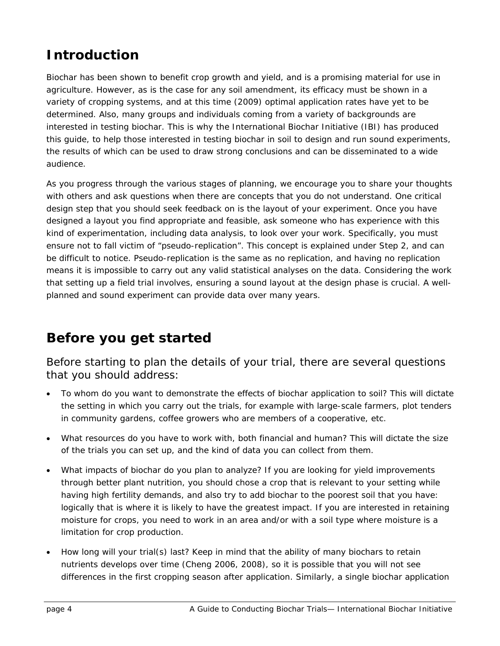## **Introduction**

Biochar has been shown to benefit crop growth and yield, and is a promising material for use in agriculture. However, as is the case for any soil amendment, its efficacy must be shown in a variety of cropping systems, and at this time (2009) optimal application rates have yet to be determined. Also, many groups and individuals coming from a variety of backgrounds are interested in testing biochar. This is why the International Biochar Initiative (IBI) has produced this guide, to help those interested in testing biochar in soil to design and run sound experiments, the results of which can be used to draw strong conclusions and can be disseminated to a wide audience.

As you progress through the various stages of planning, we encourage you to share your thoughts with others and ask questions when there are concepts that you do not understand. One critical design step that you should seek feedback on is the layout of your experiment. Once you have designed a layout you find appropriate and feasible, ask someone who has experience with this kind of experimentation, including data analysis, to look over your work. Specifically, you must ensure not to fall victim of "pseudo-replication". This concept is explained under Step 2, and can be difficult to notice. Pseudo-replication is the same as no replication, and having no replication means it is impossible to carry out any valid statistical analyses on the data. Considering the work that setting up a field trial involves, ensuring a sound layout at the design phase is crucial. A wellplanned and sound experiment can provide data over many years.

### **Before you get started**

#### *Before starting to plan the details of your trial, there are several questions that you should address:*

- To whom do you want to demonstrate the effects of biochar application to soil? This will dictate the setting in which you carry out the trials, for example with large-scale farmers, plot tenders in community gardens, coffee growers who are members of a cooperative, etc.
- What resources do you have to work with, both financial and human? This will dictate the size of the trials you can set up, and the kind of data you can collect from them.
- What impacts of biochar do you plan to analyze? If you are looking for yield improvements through better plant nutrition, you should chose a crop that is relevant to your setting while having high fertility demands, and also try to add biochar to the poorest soil that you have: logically that is where it is likely to have the greatest impact. If you are interested in retaining moisture for crops, you need to work in an area and/or with a soil type where moisture is a limitation for crop production.
- How long will your trial(s) last? Keep in mind that the ability of many biochars to retain nutrients develops over time (Cheng 2006, 2008), so it is possible that you will not see differences in the first cropping season after application. Similarly, a single biochar application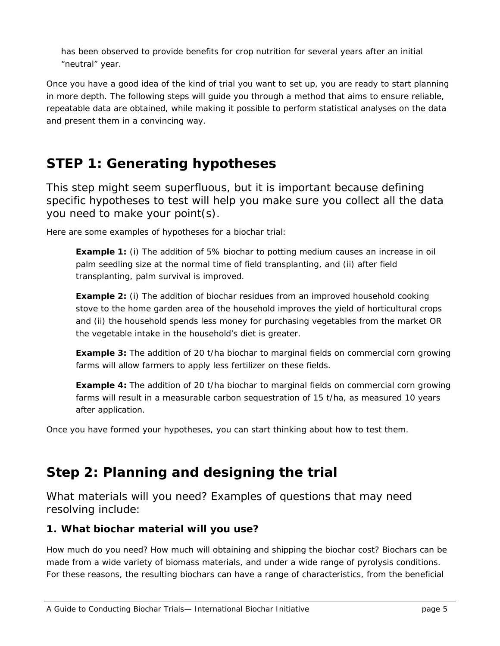has been observed to provide benefits for crop nutrition for several years after an initial "neutral" year.

Once you have a good idea of the kind of trial you want to set up, you are ready to start planning in more depth. The following steps will guide you through a method that aims to ensure reliable, repeatable data are obtained, while making it possible to perform statistical analyses on the data and present them in a convincing way.

### **STEP 1: Generating hypotheses**

*This step might seem superfluous, but it is important because defining specific hypotheses to test will help you make sure you collect all the data you need to make your point(s).* 

Here are some examples of hypotheses for a biochar trial:

**Example 1:** (i) The addition of 5% biochar to potting medium causes an increase in oil palm seedling size at the normal time of field transplanting, and (ii) after field transplanting, palm survival is improved.

**Example 2:** (i) The addition of biochar residues from an improved household cooking stove to the home garden area of the household improves the yield of horticultural crops and (ii) the household spends less money for purchasing vegetables from the market OR the vegetable intake in the household's diet is greater.

**Example 3:** The addition of 20 t/ha biochar to marginal fields on commercial corn growing farms will allow farmers to apply less fertilizer on these fields.

**Example 4:** The addition of 20 t/ha biochar to marginal fields on commercial corn growing farms will result in a measurable carbon sequestration of 15 t/ha, as measured 10 years after application.

Once you have formed your hypotheses, you can start thinking about *how* to test them.

### **Step 2: Planning and designing the trial**

*What materials will you need? Examples of questions that may need resolving include:* 

#### **1. What biochar material will you use?**

How much do you need? How much will obtaining and shipping the biochar cost? Biochars can be made from a wide variety of biomass materials, and under a wide range of pyrolysis conditions. For these reasons, the resulting biochars can have a range of characteristics, from the beneficial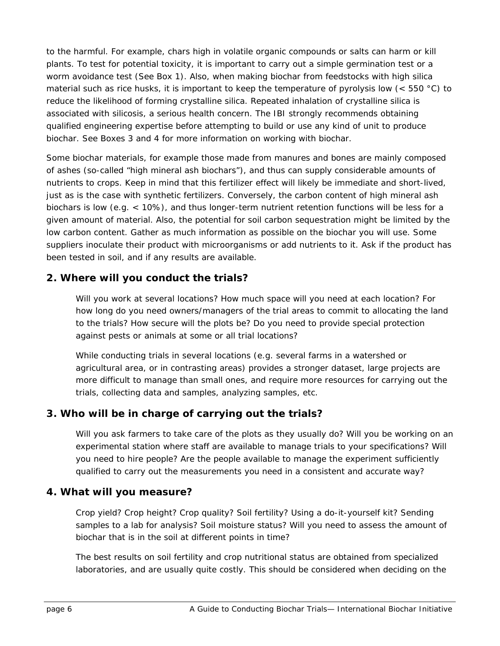to the harmful. For example, chars high in volatile organic compounds or salts can harm or kill plants. To test for potential toxicity, it is important to carry out a simple germination test or a worm avoidance test (See Box 1). Also, when making biochar from feedstocks with high silica material such as rice husks, it is important to keep the temperature of pyrolysis low ( $<$  550 °C) to reduce the likelihood of forming crystalline silica. Repeated inhalation of crystalline silica is associated with silicosis, a serious health concern. The IBI strongly recommends obtaining qualified engineering expertise before attempting to build or use any kind of unit to produce biochar. See Boxes 3 and 4 for more information on working with biochar.

Some biochar materials, for example those made from manures and bones are mainly composed of ashes (so-called "high mineral ash biochars"), and thus can supply considerable amounts of nutrients to crops. Keep in mind that this fertilizer effect will likely be immediate and short-lived, just as is the case with synthetic fertilizers. Conversely, the carbon content of high mineral ash biochars is low (e.g. < 10%), and thus longer-term nutrient retention functions will be less for a given amount of material. Also, the potential for soil carbon sequestration might be limited by the low carbon content. Gather as much information as possible on the biochar you will use. Some suppliers inoculate their product with microorganisms or add nutrients to it. Ask if the product has been tested in soil, and if any results are available.

#### **2. Where will you conduct the trials?**

Will you work at several locations? How much space will you need at each location? For how long do you need owners/managers of the trial areas to commit to allocating the land to the trials? How secure will the plots be? Do you need to provide special protection against pests or animals at some or all trial locations?

While conducting trials in several locations (e.g. several farms in a watershed or agricultural area, or in contrasting areas) provides a stronger dataset, large projects are more difficult to manage than small ones, and require more resources for carrying out the trials, collecting data and samples, analyzing samples, etc.

#### **3. Who will be in charge of carrying out the trials?**

Will you ask farmers to take care of the plots as they usually do? Will you be working on an experimental station where staff are available to manage trials to your specifications? Will you need to hire people? Are the people available to manage the experiment sufficiently qualified to carry out the measurements you need in a consistent and accurate way?

#### **4. What will you measure?**

Crop yield? Crop height? Crop quality? Soil fertility? Using a do-it-yourself kit? Sending samples to a lab for analysis? Soil moisture status? Will you need to assess the amount of biochar that is in the soil at different points in time?

The best results on soil fertility and crop nutritional status are obtained from specialized laboratories, and are usually quite costly. This should be considered when deciding on the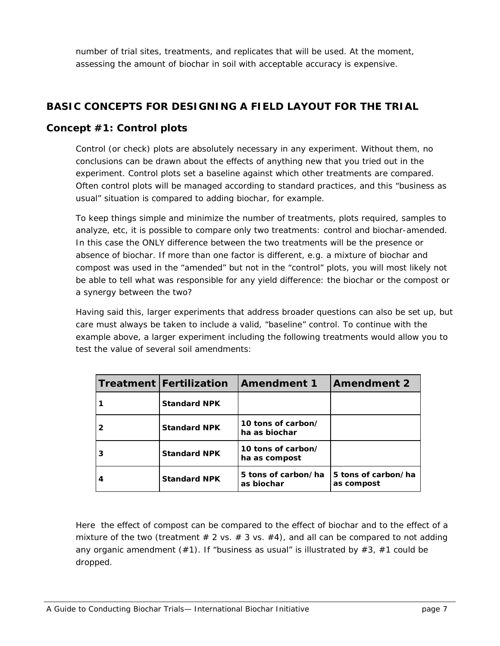number of trial sites, treatments, and replicates that will be used. At the moment, assessing the amount of biochar in soil with acceptable accuracy is expensive.

#### **BASIC CONCEPTS FOR DESIGNING A FIELD LAYOUT FOR THE TRIAL**

#### **Concept #1: Control plots**

Control (or check) plots are absolutely necessary in any experiment. Without them, no conclusions can be drawn about the effects of anything new that you tried out in the experiment. Control plots set a baseline against which other treatments are compared. Often control plots will be managed according to standard practices, and this "business as usual" situation is compared to adding biochar, for example.

To keep things simple and minimize the number of treatments, plots required, samples to analyze, etc, it is possible to compare only two treatments: control and biochar-amended. In this case the ONLY difference between the two treatments will be the presence or absence of biochar. If more than one factor is different, e.g. a mixture of biochar and compost was used in the "amended" but not in the "control" plots, you will most likely not be able to tell what was responsible for any yield difference: the biochar or the compost or a synergy between the two?

Having said this, larger experiments that address broader questions can also be set up, but care must always be taken to include a valid, "baseline" control. To continue with the example above, a larger experiment including the following treatments would allow you to test the value of several soil amendments:

| Treatment   Fertilization | Amendment 1                         | <b>Amendment 2</b>                |
|---------------------------|-------------------------------------|-----------------------------------|
| <b>Standard NPK</b>       |                                     |                                   |
| <b>Standard NPK</b>       | 10 tons of carbon/<br>ha as biochar |                                   |
| <b>Standard NPK</b>       | 10 tons of carbon/<br>ha as compost |                                   |
| <b>Standard NPK</b>       | 5 tons of carbon/ha<br>as biochar   | 5 tons of carbon/ha<br>as compost |

Here the effect of compost can be compared to the effect of biochar and to the effect of a mixture of the two (treatment  $# 2$  vs.  $# 3$  vs.  $# 4$ ), and all can be compared to not adding any organic amendment  $(*1)$ . If "business as usual" is illustrated by  $#3$ ,  $#1$  could be dropped.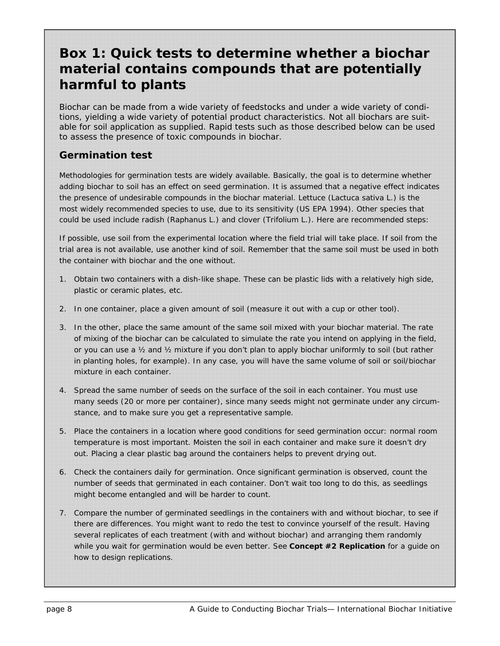### **Box 1: Quick tests to determine whether a biochar material contains compounds that are potentially harmful to plants**

*Biochar can be made from a wide variety of feedstocks and under a wide variety of conditions, yielding a wide variety of potential product characteristics. Not all biochars are suitable for soil application as supplied. Rapid tests such as those described below can be used to assess the presence of toxic compounds in biochar.* 

#### **Germination test**

Methodologies for germination tests are widely available. Basically, the goal is to determine whether adding biochar to soil has an effect on seed germination. It is assumed that a negative effect indicates the presence of undesirable compounds in the biochar material. Lettuce (*Lactuca* sativa L.) is the most widely recommended species to use, due to its sensitivity (US EPA 1994). Other species that could be used include radish (*Raphanus* L.) and clover (*Trifolium* L.). Here are recommended steps:

If possible, use soil from the experimental location where the field trial will take place. If soil from the trial area is not available, use another kind of soil. Remember that the same soil must be used in both the container with biochar and the one without.

- 1. Obtain two containers with a dish-like shape. These can be plastic lids with a relatively high side, plastic or ceramic plates, etc.
- 2. In one container, place a given amount of soil (measure it out with a cup or other tool).
- 3. In the other, place the same amount of the same soil mixed with your biochar material. The rate of mixing of the biochar can be calculated to simulate the rate you intend on applying in the field, or you can use a ½ and ½ mixture if you don't plan to apply biochar uniformly to soil (but rather in planting holes, for example). In any case, you will have the same volume of soil or soil/biochar mixture in each container.
- 4. Spread the same number of seeds on the surface of the soil in each container. You must use many seeds (20 or more per container), since many seeds might not germinate under any circumstance, and to make sure you get a representative sample.
- 5. Place the containers in a location where good conditions for seed germination occur: normal room temperature is most important. Moisten the soil in each container and make sure it doesn't dry out. Placing a clear plastic bag around the containers helps to prevent drying out.
- *6.* Check the containers daily for germination. Once significant germination is observed, count the number of seeds that germinated in each container. Don't wait too long to do this, as seedlings might become entangled and will be harder to count.
- 7. Compare the number of germinated seedlings in the containers with and without biochar, to see if there are differences. You might want to redo the test to convince yourself of the result. Having several replicates of each treatment (with and without biochar) and arranging them randomly while you wait for germination would be even better. See *Concept #2 Replication* for a guide on how to design replications.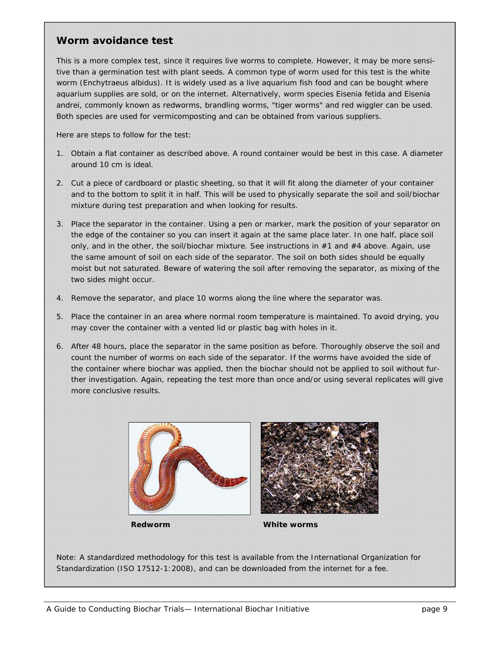#### **Worm avoidance test**

This is a more complex test, since it requires live worms to complete. However, it may be more sensitive than a germination test with plant seeds. A common type of worm used for this test is the white worm (*Enchytraeus albidus*). It is widely used as a live aquarium fish food and can be bought where aquarium supplies are sold, or on the internet. Alternatively, worm species *Eisenia fetida* and *Eisenia andrei*, commonly known as redworms, brandling worms, "tiger worms" and red wiggler can be used. Both species are used for vermicomposting and can be obtained from various suppliers.

Here are steps to follow for the test:

- 1. Obtain a flat container as described above. A round container would be best in this case. A diameter around 10 cm is ideal.
- 2. Cut a piece of cardboard or plastic sheeting, so that it will fit along the diameter of your container and to the bottom to split it in half. This will be used to physically separate the soil and soil/biochar mixture during test preparation and when looking for results.
- 3. Place the separator in the container. Using a pen or marker, mark the position of your separator on the edge of the container so you can insert it again at the same place later. In one half, place soil only, and in the other, the soil/biochar mixture. See instructions in #1 and #4 above. Again, use the same amount of soil on each side of the separator. The soil on both sides should be equally moist but not saturated. Beware of watering the soil after removing the separator, as mixing of the two sides might occur.
- 4. Remove the separator, and place 10 worms along the line where the separator was.
- 5. Place the container in an area where normal room temperature is maintained. To avoid drying, you may cover the container with a vented lid or plastic bag with holes in it.
- 6. After 48 hours, place the separator in the same position as before. Thoroughly observe the soil and count the number of worms on each side of the separator. If the worms have avoided the side of the container where biochar was applied, then the biochar should not be applied to soil without further investigation. Again, repeating the test more than once and/or using several replicates will give more conclusive results.





**Redworm White worms** 

Note: A standardized methodology for this test is available from the International Organization for Standardization (ISO 17512-1:2008), and can be downloaded from the internet for a fee.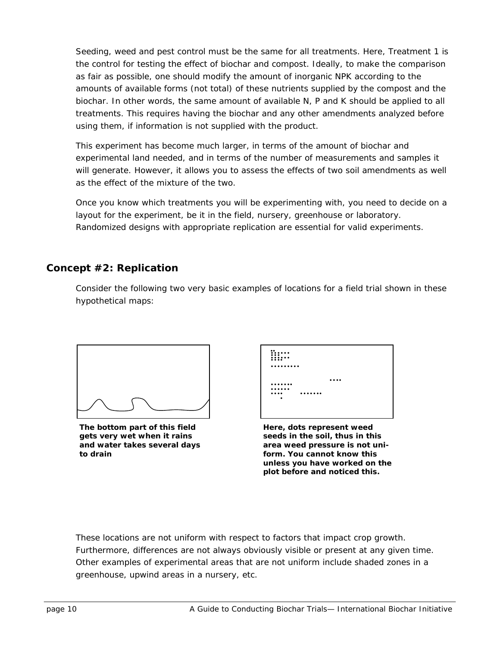Seeding, weed and pest control must be the same for all treatments. Here, Treatment 1 is the control for testing the effect of biochar and compost. Ideally, to make the comparison as fair as possible, one should modify the amount of inorganic NPK according to the amounts of *available* forms (not total) of these nutrients supplied by the compost and the biochar. In other words, the same amount of available N, P and K should be applied to all treatments. This requires having the biochar and any other amendments analyzed before using them, if information is not supplied with the product.

This experiment has become much larger, in terms of the amount of biochar and experimental land needed, and in terms of the number of measurements and samples it will generate. However, it allows you to assess the effects of two soil amendments as well as the effect of the mixture of the two.

Once you know which treatments you will be experimenting with, you need to decide on a layout for the experiment, be it in the field, nursery, greenhouse or laboratory. Randomized designs with appropriate replication are essential for valid experiments.

#### **Concept #2: Replication**

Consider the following two very basic examples of locations for a field trial shown in these hypothetical maps:



**The bottom part of this field gets very wet when it rains and water takes several days to drain** 

| $\bullet\bullet$<br><br>.<br> |  |
|-------------------------------|--|
|                               |  |
|                               |  |
|                               |  |
|                               |  |
| <br>                          |  |
|                               |  |
|                               |  |
|                               |  |
|                               |  |

**Here, dots represent weed seeds in the soil, thus in this area weed pressure is not uniform. You cannot know this unless you have worked on the plot before and noticed this.** 

These locations are not uniform with respect to factors that impact crop growth. Furthermore, differences are not always obviously visible or present at any given time. Other examples of experimental areas that are not uniform include shaded zones in a greenhouse, upwind areas in a nursery, etc.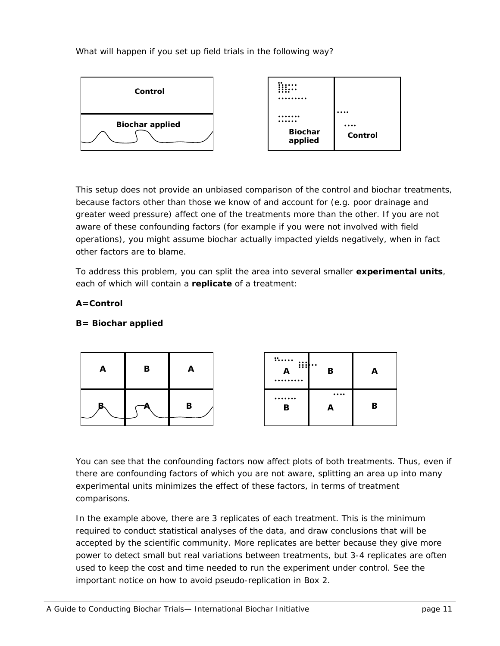What will happen if you set up field trials in the following way?



This setup does not provide an unbiased comparison of the control and biochar treatments, because factors other than those we know of and account for (e.g. poor drainage and greater weed pressure) affect one of the treatments more than the other. If you are not aware of these confounding factors (for example if you were not involved with field operations), you might assume biochar actually impacted yields negatively, when in fact other factors are to blame.

To address this problem, you can split the area into several smaller **experimental units**, each of which will contain a **replicate** of a treatment:

#### **A=Control**

#### **B= Biochar applied**



You can see that the confounding factors now affect plots of both treatments. Thus, even if there are confounding factors of which you are not aware, splitting an area up into many experimental units minimizes the effect of these factors, in terms of treatment comparisons.

In the example above, there are 3 replicates of each treatment. This is the minimum required to conduct statistical analyses of the data, and draw conclusions that will be accepted by the scientific community. More replicates are better because they give more power to detect small but real variations between treatments, but 3-4 replicates are often used to keep the cost and time needed to run the experiment under control. See the important notice on how to avoid pseudo-replication in Box 2.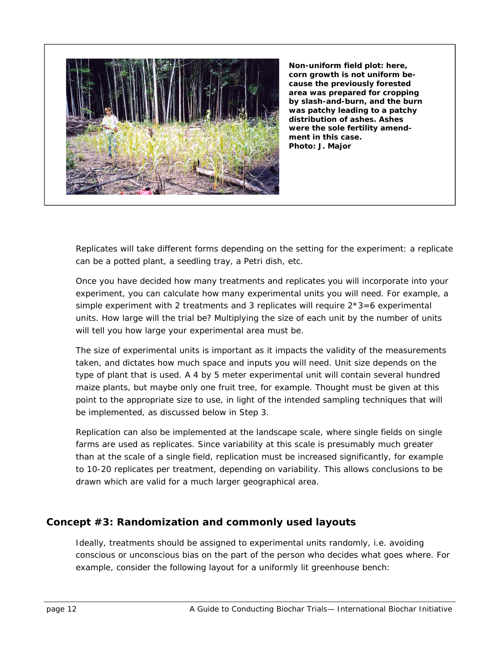

**Non-uniform field plot: here, corn growth is not uniform because the previously forested area was prepared for cropping by slash-and-burn, and the burn was patchy leading to a patchy distribution of ashes. Ashes were the sole fertility amendment in this case. Photo: J. Major** 

Replicates will take different forms depending on the setting for the experiment: a replicate can be a potted plant, a seedling tray, a Petri dish, etc.

Once you have decided how many treatments and replicates you will incorporate into your experiment, you can calculate how many experimental units you will need. For example, a simple experiment with 2 treatments and 3 replicates will require  $2*3=6$  experimental units. How large will the trial be? Multiplying the size of each unit by the number of units will tell you how large your experimental area must be.

The size of experimental units is important as it impacts the validity of the measurements taken, and dictates how much space and inputs you will need. Unit size depends on the type of plant that is used. A 4 by 5 meter experimental unit will contain several hundred maize plants, but maybe only one fruit tree, for example. Thought must be given at this point to the appropriate size to use, in light of the intended sampling techniques that will be implemented, as discussed below in Step 3.

Replication can also be implemented at the landscape scale, where single fields on single farms are used as replicates. Since variability at this scale is presumably much greater than at the scale of a single field, replication must be increased significantly, for example to 10-20 replicates per treatment, depending on variability. This allows conclusions to be drawn which are valid for a much larger geographical area.

#### **Concept #3: Randomization and commonly used layouts**

Ideally, treatments should be assigned to experimental units randomly, i.e. avoiding conscious or unconscious bias on the part of the person who decides what goes where. For example, consider the following layout for a uniformly lit greenhouse bench: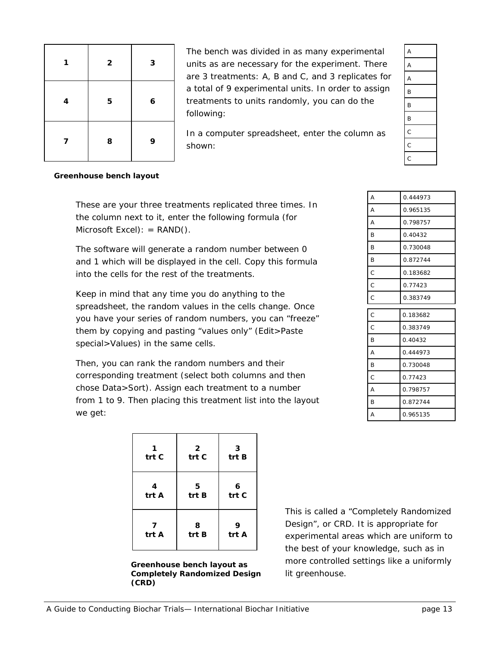| 1 | $\overline{\mathbf{2}}$ | 3                |
|---|-------------------------|------------------|
| 4 | 5                       | $\boldsymbol{6}$ |
| 7 | 8                       | 9                |

The bench was divided in as many experimental units as are necessary for the experiment. There are 3 treatments: A, B and C, and 3 replicates for a total of 9 experimental units. In order to assign treatments to units randomly, you can do the following:

In a computer spreadsheet, enter the column as shown:

#### **Greenhouse bench layout**

These are your three treatments replicated three times. In the column next to it, enter the following formula (for Microsoft Excel):  $=$  RAND().

The software will generate a random number between 0 and 1 which will be displayed in the cell. Copy this formula into the cells for the rest of the treatments.

Keep in mind that any time you do anything to the spreadsheet, the random values in the cells change. Once you have your series of random numbers, you can "freeze" them by copying and pasting "values only" (Edit>Paste special>Values) in the same cells.

Then, you can rank the random numbers and their corresponding treatment (select both columns and then chose Data>Sort). Assign each treatment to a number from 1 to 9. Then placing this treatment list into the layout we get:

| trt C | $\mathbf{2}$<br>trt C | -3<br>trt B |
|-------|-----------------------|-------------|
| 4     | 5                     | 6           |
| trt A | trt B                 | trt C       |
| 7     | 8                     | 9           |
| trt A | trt B                 | trt A       |

**Greenhouse bench layout as Completely Randomized Design (CRD)** 

This is called a "Completely Randomized Design", or CRD. It is appropriate for orm to as in formly lit greenhouse.

| Design", or CRD. It is appropriate   |
|--------------------------------------|
| experimental areas which are unifo   |
| the best of your knowledge, such a   |
| more controlled settings like a unif |
| lit greenhouse.                      |
|                                      |

| A | 0.444973 |
|---|----------|
| A | 0.965135 |
| A | 0.798757 |
| B | 0.40432  |
| B | 0.730048 |
| B | 0.872744 |
| C | 0.183682 |
| C | 0.77423  |
| C | 0.383749 |
| C | 0.183682 |
| Ċ | 0.383749 |
| B | 0.40432  |
| A | 0.444973 |
| B | 0.730048 |
| C | 0.77423  |
| A | 0.798757 |

B 0.872744 A 0.965135

A A A B B B C C C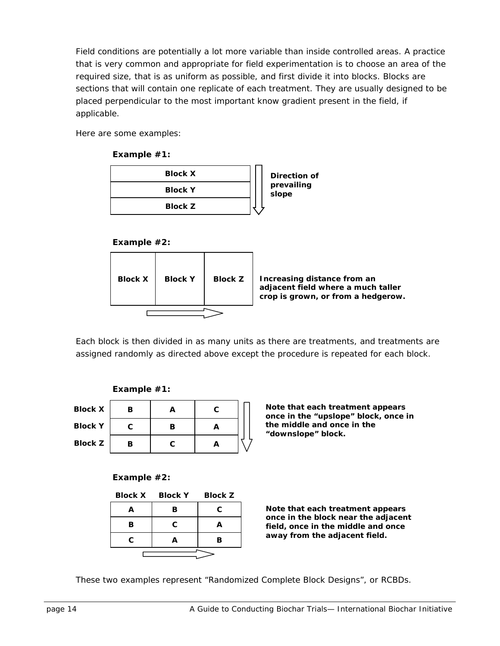Field conditions are potentially a lot more variable than inside controlled areas. A practice that is very common and appropriate for field experimentation is to choose an area of the required size, that is as uniform as possible, and first divide it into blocks. Blocks are sections that will contain one replicate of each treatment. They are usually designed to be placed perpendicular to the most important know gradient present in the field, if applicable.

Here are some examples:

**Example #1:**

| <b>Block X</b> | Direction of |
|----------------|--------------|
| <b>Block Y</b> | prevailing   |
| <b>Block Z</b> | slope        |

#### **Example #2:**



Each block is then divided in as many units as there are treatments, and treatments are assigned randomly as directed above except the procedure is repeated for each block.



**Block X Block Y Block Z** 



**Note that each treatment appears once in the "upslope" block, once in the middle and once in the "downslope" block.** 

#### **Example #2:**

|   | Block X Block Y | <b>Block Z</b> |
|---|-----------------|----------------|
| А | в               | C              |
| R | C.              |                |
| C | Д               | в              |
|   |                 |                |

**Note that each treatment appears once in the block near the adjacent field, once in the middle and once away from the adjacent field.** 

These two examples represent "Randomized Complete Block Designs", or RCBDs.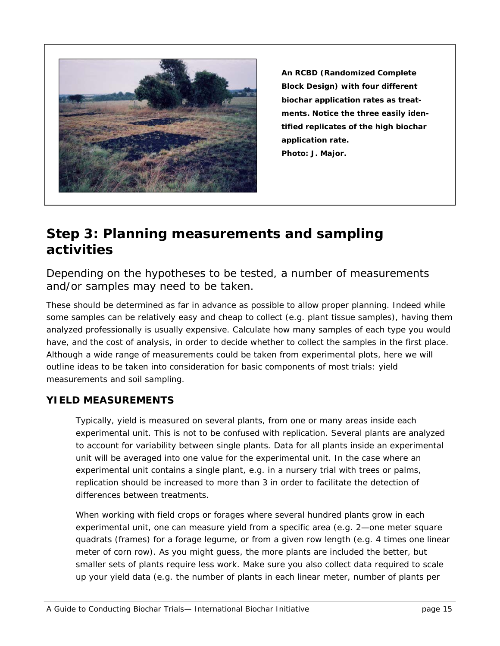

**An RCBD (Randomized Complete Block Design) with four different biochar application rates as treatments. Notice the three easily identified replicates of the high biochar application rate. Photo: J. Major.** 

### **Step 3: Planning measurements and sampling activities**

*Depending on the hypotheses to be tested, a number of measurements and/or samples may need to be taken.* 

These should be determined as far in advance as possible to allow proper planning. Indeed while some samples can be relatively easy and cheap to collect (e.g. plant tissue samples), having them analyzed professionally is usually expensive. Calculate how many samples of each type you would have, and the cost of analysis, in order to decide whether to collect the samples in the first place. Although a wide range of measurements could be taken from experimental plots, here we will outline ideas to be taken into consideration for basic components of most trials: yield measurements and soil sampling.

#### **YIELD MEASUREMENTS**

Typically, yield is measured on several plants, from one or many areas inside each experimental unit. This is not to be confused with replication. Several plants are analyzed to account for variability between single plants. Data for all plants inside an experimental unit will be averaged into one value for the experimental unit. In the case where an experimental unit contains a single plant, e.g. in a nursery trial with trees or palms, replication should be increased to more than 3 in order to facilitate the detection of differences between treatments.

When working with field crops or forages where several hundred plants grow in each experimental unit, one can measure yield from a specific area (e.g. 2—one meter square quadrats (frames) for a forage legume, or from a given row length (e.g. 4 times one linear meter of corn row). As you might guess, the more plants are included the better, but smaller sets of plants require less work. Make sure you also collect data required to scale up your yield data (e.g. the number of plants in each linear meter, number of plants per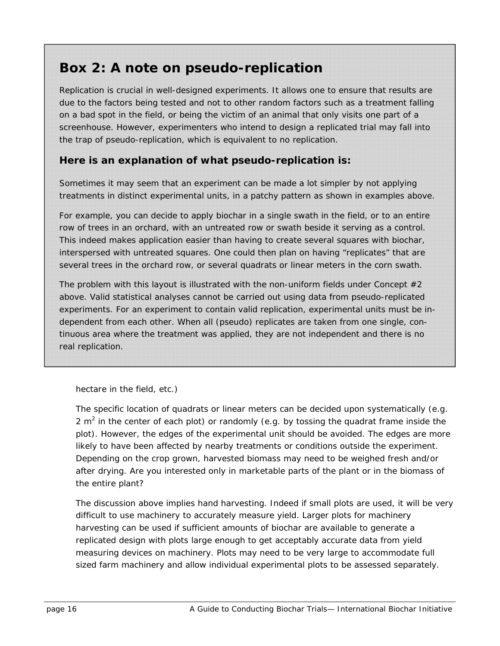### **Box 2: A note on pseudo-replication**

*Replication is crucial in well-designed experiments. It allows one to ensure that results are due to the factors being tested and not to other random factors such as a treatment falling on a bad spot in the field, or being the victim of an animal that only visits one part of a screenhouse. However, experimenters who intend to design a replicated trial may fall into the trap of pseudo-replication, which is equivalent to no replication.* 

#### **Here is an explanation of what pseudo-replication is:**

Sometimes it may seem that an experiment can be made a lot simpler by not applying treatments in distinct experimental units, in a patchy pattern as shown in examples above.

For example, you can decide to apply biochar in a single swath in the field, or to an entire row of trees in an orchard, with an untreated row or swath beside it serving as a control. This indeed makes application easier than having to create several squares with biochar, interspersed with untreated squares. One could then plan on having "replicates" that are several trees in the orchard row, or several quadrats or linear meters in the corn swath.

The problem with this layout is illustrated with the non-uniform fields under Concept  $#2$ above. Valid statistical analyses cannot be carried out using data from pseudo-replicated experiments. For an experiment to contain valid replication, experimental units must be independent from each other. When all (pseudo) replicates are taken from one single, continuous area where the treatment was applied, they are not independent and there is no real replication.

hectare in the field, etc.)

The specific location of quadrats or linear meters can be decided upon systematically (e.g. 2  $m<sup>2</sup>$  in the center of each plot) or randomly (e.g. by tossing the quadrat frame inside the plot). However, the edges of the experimental unit should be avoided. The edges are more likely to have been affected by nearby treatments or conditions outside the experiment. Depending on the crop grown, harvested biomass may need to be weighed fresh and/or after drying. Are you interested only in marketable parts of the plant or in the biomass of the entire plant?

The discussion above implies hand harvesting. Indeed if small plots are used, it will be very difficult to use machinery to accurately measure yield. Larger plots for machinery harvesting can be used if sufficient amounts of biochar are available to generate a replicated design with plots large enough to get acceptably accurate data from yield measuring devices on machinery. Plots may need to be very large to accommodate full sized farm machinery and allow individual experimental plots to be assessed separately.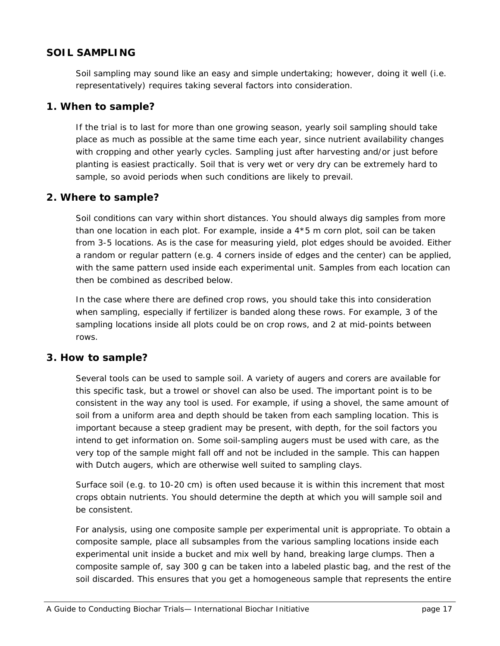#### **SOIL SAMPLING**

Soil sampling may sound like an easy and simple undertaking; however, doing it well (i.e. representatively) requires taking several factors into consideration.

#### **1. When to sample?**

If the trial is to last for more than one growing season, yearly soil sampling should take place as much as possible at the same time each year, since nutrient availability changes with cropping and other yearly cycles. Sampling just after harvesting and/or just before planting is easiest practically. Soil that is very wet or very dry can be extremely hard to sample, so avoid periods when such conditions are likely to prevail.

#### **2. Where to sample?**

Soil conditions can vary within short distances. You should always dig samples from more than one location in each plot. For example, inside a 4\*5 m corn plot, soil can be taken from 3-5 locations. As is the case for measuring yield, plot edges should be avoided. Either a random or regular pattern (e.g. 4 corners inside of edges and the center) can be applied, with the same pattern used inside each experimental unit. Samples from each location can then be combined as described below.

In the case where there are defined crop rows, you should take this into consideration when sampling, especially if fertilizer is banded along these rows. For example, 3 of the sampling locations inside all plots could be on crop rows, and 2 at mid-points between rows.

#### **3. How to sample?**

Several tools can be used to sample soil. A variety of augers and corers are available for this specific task, but a trowel or shovel can also be used. The important point is to be consistent in the way any tool is used. For example, if using a shovel, the same amount of soil from a uniform area and depth should be taken from each sampling location. This is important because a steep gradient may be present, with depth, for the soil factors you intend to get information on. Some soil-sampling augers must be used with care, as the very top of the sample might fall off and not be included in the sample. This can happen with Dutch augers, which are otherwise well suited to sampling clays.

Surface soil (e.g. to 10-20 cm) is often used because it is within this increment that most crops obtain nutrients. You should determine the depth at which you will sample soil and be consistent.

For analysis, using one composite sample per experimental unit is appropriate. To obtain a composite sample, place all subsamples from the various sampling locations inside each experimental unit inside a bucket and mix well by hand, breaking large clumps. Then a composite sample of, say 300 g can be taken into a labeled plastic bag, and the rest of the soil discarded. This ensures that you get a homogeneous sample that represents the entire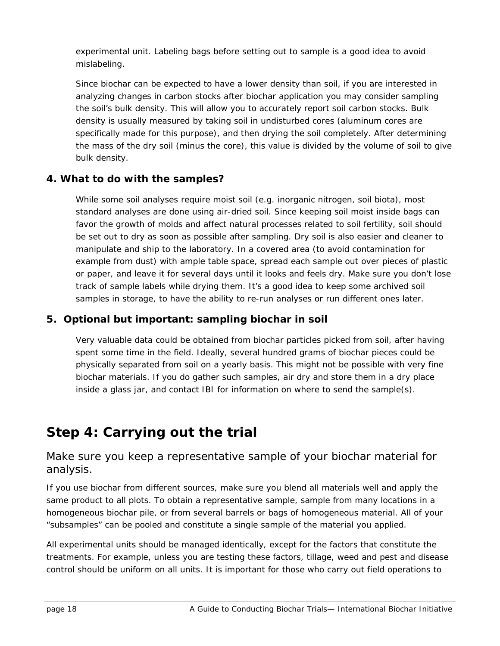experimental unit. Labeling bags before setting out to sample is a good idea to avoid mislabeling.

Since biochar can be expected to have a lower density than soil, if you are interested in analyzing changes in carbon stocks after biochar application you may consider sampling the soil's bulk density. This will allow you to accurately report soil carbon stocks. Bulk density is usually measured by taking soil in undisturbed cores (aluminum cores are specifically made for this purpose), and then drying the soil completely. After determining the mass of the dry soil (minus the core), this value is divided by the volume of soil to give bulk density.

#### **4. What to do with the samples?**

While some soil analyses require moist soil (e.g. inorganic nitrogen, soil biota), most standard analyses are done using air-dried soil. Since keeping soil moist inside bags can favor the growth of molds and affect natural processes related to soil fertility, soil should be set out to dry as soon as possible after sampling. Dry soil is also easier and cleaner to manipulate and ship to the laboratory. In a covered area (to avoid contamination for example from dust) with ample table space, spread each sample out over pieces of plastic or paper, and leave it for several days until it looks and feels dry. Make sure you don't lose track of sample labels while drying them. It's a good idea to keep some archived soil samples in storage, to have the ability to re-run analyses or run different ones later.

#### **5. Optional but important: sampling biochar in soil**

Very valuable data could be obtained from biochar particles picked from soil, after having spent some time in the field. Ideally, several hundred grams of biochar pieces could be physically separated from soil on a yearly basis. This might not be possible with very fine biochar materials. If you do gather such samples, air dry and store them in a dry place inside a glass jar, and contact IBI for information on where to send the sample(s).

### **Step 4: Carrying out the trial**

#### *Make sure you keep a representative sample of your biochar material for analysis.*

If you use biochar from different sources, make sure you blend all materials well and apply the same product to all plots. To obtain a representative sample, sample from many locations in a homogeneous biochar pile, or from several barrels or bags of homogeneous material. All of your "subsamples" can be pooled and constitute a single sample of the material you applied.

All experimental units should be managed identically, except for the factors that constitute the treatments. For example, unless you are testing these factors, tillage, weed and pest and disease control should be uniform on all units. It is important for those who carry out field operations to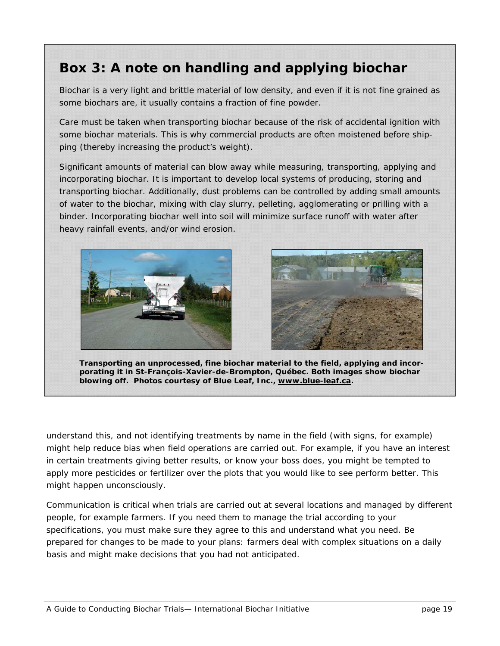## **Box 3: A note on handling and applying biochar**

*Biochar is a very light and brittle material of low density, and even if it is not fine grained as some biochars are, it usually contains a fraction of fine powder.* 

Care must be taken when transporting biochar because of the risk of accidental ignition with some biochar materials. This is why commercial products are often moistened before shipping (thereby increasing the product's weight).

Significant amounts of material can blow away while measuring, transporting, applying and incorporating biochar. It is important to develop local systems of producing, storing and transporting biochar. Additionally, dust problems can be controlled by adding small amounts of water to the biochar, mixing with clay slurry, pelleting, agglomerating or prilling with a binder. Incorporating biochar well into soil will minimize surface runoff with water after heavy rainfall events, and/or wind erosion.





**Transporting an unprocessed, fine biochar material to the field, applying and incorporating it in St-François-Xavier-de-Brompton, Québec. Both images show biochar blowing off. Photos courtesy of Blue Leaf, Inc., www.blue-leaf.ca.** 

understand this, and not identifying treatments by name in the field (with signs, for example) might help reduce bias when field operations are carried out. For example, if you have an interest in certain treatments giving better results, or know your boss does, you might be tempted to apply more pesticides or fertilizer over the plots that you would like to see perform better. This might happen unconsciously.

Communication is critical when trials are carried out at several locations and managed by different people, for example farmers. If you need them to manage the trial according to your specifications, you must make sure they agree to this and understand what you need. Be prepared for changes to be made to your plans: farmers deal with complex situations on a daily basis and might make decisions that you had not anticipated.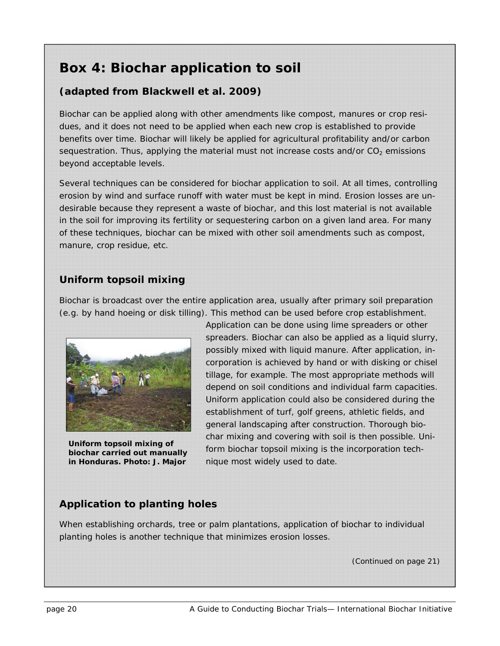### **Box 4: Biochar application to soil**

#### **(adapted from Blackwell et al. 2009)**

*Biochar can be applied along with other amendments like compost, manures or crop resi*dues, and it does not need to be applied when each new crop is established to provide *benefits over time. Biochar will likely be applied for agricultural profitability and/or carbon sequestration. Thus, applying the material must not increase costs and/or CO<sub>2</sub> emissions beyond acceptable levels.* 

*Several techniques can be considered for biochar application to soil. At all times, controlling erosion by wind and surface runoff with water must be kept in mind. Erosion losses are undesirable because they represent a waste of biochar, and this lost material is not available in the soil for improving its fertility or sequestering carbon on a given land area. For many of these techniques, biochar can be mixed with other soil amendments such as compost, manure, crop residue, etc.* 

#### **Uniform topsoil mixing**

Biochar is broadcast over the entire application area, usually after primary soil preparation (e.g. by hand hoeing or disk tilling). This method can be used before crop establishment.



**Uniform topsoil mixing of biochar carried out manually in Honduras. Photo: J. Major** 

Application can be done using lime spreaders or other spreaders. Biochar can also be applied as a liquid slurry, possibly mixed with liquid manure. After application, incorporation is achieved by hand or with disking or chisel tillage, for example. The most appropriate methods will depend on soil conditions and individual farm capacities. Uniform application could also be considered during the establishment of turf, golf greens, athletic fields, and general landscaping after construction. Thorough biochar mixing and covering with soil is then possible. Uniform biochar topsoil mixing is the incorporation technique most widely used to date.

#### **Application to planting holes**

When establishing orchards, tree or palm plantations, application of biochar to individual planting holes is another technique that minimizes erosion losses.

*(Continued on page 21)*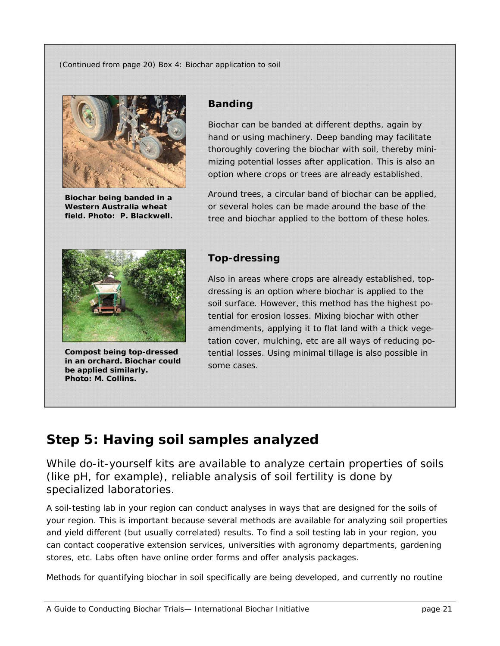*(Continued from page 20) Box 4: Biochar application to soil* 



**Biochar being banded in a Western Australia wheat field. Photo: P. Blackwell.** 

#### **Banding**

Biochar can be banded at different depths, again by hand or using machinery. Deep banding may facilitate thoroughly covering the biochar with soil, thereby minimizing potential losses after application. This is also an option where crops or trees are already established.

Around trees, a circular band of biochar can be applied, or several holes can be made around the base of the tree and biochar applied to the bottom of these holes.



**Compost being top-dressed in an orchard. Biochar could be applied similarly. Photo: M. Collins.** 

#### **Top-dressing**

Also in areas where crops are already established, topdressing is an option where biochar is applied to the soil surface. However, this method has the highest potential for erosion losses. Mixing biochar with other amendments, applying it to flat land with a thick vegetation cover, mulching, etc are all ways of reducing potential losses. Using minimal tillage is also possible in some cases.

### **Step 5: Having soil samples analyzed**

*While do-it-yourself kits are available to analyze certain properties of soils (like pH, for example), reliable analysis of soil fertility is done by specialized laboratories.* 

A soil-testing lab in your region can conduct analyses in ways that are designed for the soils of your region. This is important because several methods are available for analyzing soil properties and yield different (but usually correlated) results. To find a soil testing lab in your region, you can contact cooperative extension services, universities with agronomy departments, gardening stores, etc. Labs often have online order forms and offer analysis packages.

Methods for quantifying biochar in soil specifically are being developed, and currently no routine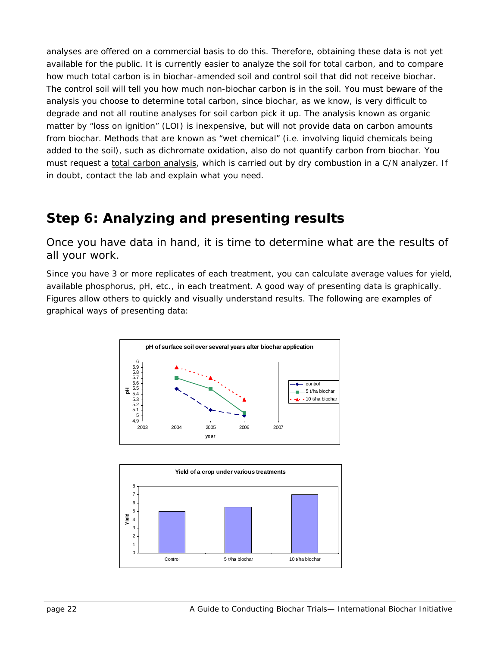analyses are offered on a commercial basis to do this. Therefore, obtaining these data is not yet available for the public. It is currently easier to analyze the soil for total carbon, and to compare how much total carbon is in biochar-amended soil and control soil that did not receive biochar. The control soil will tell you how much non-biochar carbon is in the soil. You must beware of the analysis you choose to determine total carbon, since biochar, as we know, is very difficult to degrade and not all routine analyses for soil carbon pick it up. The analysis known as organic matter by "loss on ignition" (LOI) is inexpensive, but will not provide data on carbon amounts from biochar. Methods that are known as "wet chemical" (i.e. involving liquid chemicals being added to the soil), such as dichromate oxidation, also do not quantify carbon from biochar. You must request a total carbon analysis, which is carried out by dry combustion in a C/N analyzer. If in doubt, contact the lab and explain what you need.

### **Step 6: Analyzing and presenting results**

*Once you have data in hand, it is time to determine what are the results of all your work.* 

Since you have 3 or more replicates of each treatment, you can calculate average values for yield, available phosphorus, pH, etc., in each treatment. A good way of presenting data is graphically. Figures allow others to quickly and visually understand results. The following are examples of graphical ways of presenting data:



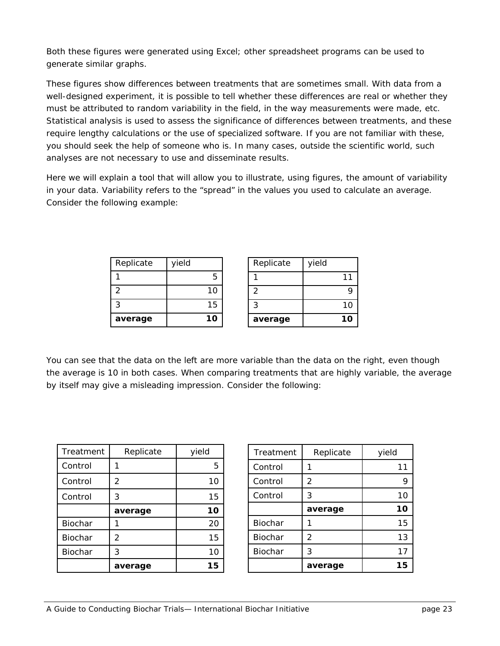Both these figures were generated using Excel; other spreadsheet programs can be used to generate similar graphs.

These figures show differences between treatments that are sometimes small. With data from a well-designed experiment, it is possible to tell whether these differences are real or whether they must be attributed to random variability in the field, in the way measurements were made, etc. Statistical analysis is used to assess the significance of differences between treatments, and these require lengthy calculations or the use of specialized software. If you are not familiar with these, you should seek the help of someone who is. In many cases, outside the scientific world, such analyses are not necessary to use and disseminate results.

Here we will explain a tool that will allow you to illustrate, using figures, the amount of variability in your data. Variability refers to the "spread" in the values you used to calculate an average. Consider the following example:

| Replicate | yield | Replicate | yield |
|-----------|-------|-----------|-------|
|           | 5     |           |       |
|           | 10    |           | Q     |
| ົ         | 15    | ົ         |       |
| average   | 10    | average   | 10    |

You can see that the data on the left are more variable than the data on the right, even though the average is 10 in both cases. When comparing treatments that are highly variable, the average by itself may give a misleading impression. Consider the following:

| Treatment      | Replicate      | yield |
|----------------|----------------|-------|
| Control        |                | 5     |
| Control        | 2              | 10    |
| Control        | 3              | 15    |
|                | average        | 10    |
| Biochar        |                | 20    |
| <b>Biochar</b> | $\overline{2}$ | 15    |
| Biochar        | 3              | 10    |
|                | average        | 15    |

| Treatment      | Replicate | yield |
|----------------|-----------|-------|
| Control        |           | 11    |
| Control        | 2         | 9     |
| Control        | 3         | 10    |
|                | average   | 10    |
| <b>Biochar</b> |           | 15    |
| Biochar        | 2         | 13    |
| Biochar        | 3         | 17    |
|                | average   | 15    |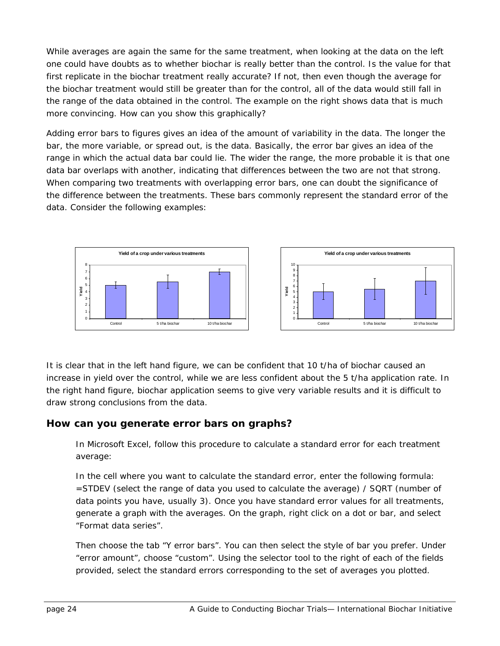While averages are again the same for the same treatment, when looking at the data on the left one could have doubts as to whether biochar is really better than the control. Is the value for that first replicate in the biochar treatment really accurate? If not, then even though the average for the biochar treatment would still be greater than for the control, all of the data would still fall in the range of the data obtained in the control. The example on the right shows data that is much more convincing. How can you show this graphically?

Adding error bars to figures gives an idea of the amount of variability in the data. The longer the bar, the more variable, or spread out, is the data. Basically, the error bar gives an idea of the range in which the actual data bar could lie. The wider the range, the more probable it is that one data bar overlaps with another, indicating that differences between the two are not that strong. When comparing two treatments with overlapping error bars, one can doubt the significance of the difference between the treatments. These bars commonly represent the standard error of the data. Consider the following examples:



It is clear that in the left hand figure, we can be confident that 10 t/ha of biochar caused an increase in yield over the control, while we are less confident about the 5 t/ha application rate. In the right hand figure, biochar application seems to give very variable results and it is difficult to draw strong conclusions from the data.

#### **How can you generate error bars on graphs?**

In Microsoft Excel, follow this procedure to calculate a standard error for each treatment average:

In the cell where you want to calculate the standard error, enter the following formula: =STDEV (select the range of data you used to calculate the average) / SQRT (number of data points you have, usually 3). Once you have standard error values for all treatments, generate a graph with the averages. On the graph, right click on a dot or bar, and select "Format data series".

Then choose the tab "Y error bars". You can then select the style of bar you prefer. Under "error amount", choose "custom". Using the selector tool to the right of each of the fields provided, select the standard errors corresponding to the set of averages you plotted.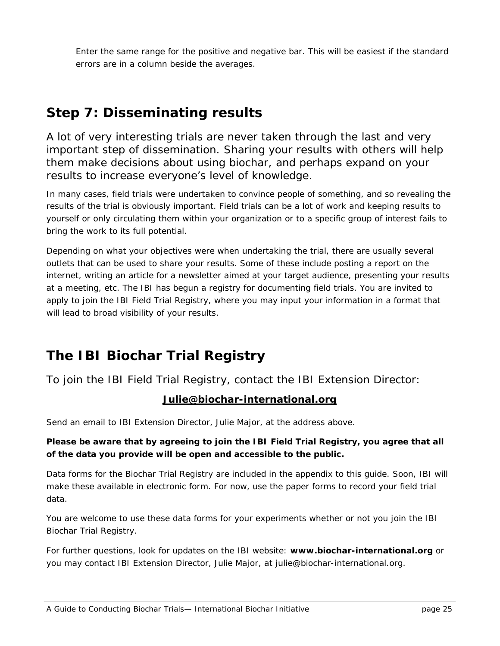Enter the same range for the positive and negative bar. This will be easiest if the standard errors are in a column beside the averages.

### **Step 7: Disseminating results**

*A lot of very interesting trials are never taken through the last and very important step of dissemination. Sharing your results with others will help them make decisions about using biochar, and perhaps expand on your results to increase everyone's level of knowledge.* 

In many cases, field trials were undertaken to convince people of something, and so revealing the results of the trial is obviously important. Field trials can be a lot of work and keeping results to yourself or only circulating them within your organization or to a specific group of interest fails to bring the work to its full potential.

Depending on what your objectives were when undertaking the trial, there are usually several outlets that can be used to share your results. Some of these include posting a report on the internet, writing an article for a newsletter aimed at your target audience, presenting your results at a meeting, etc. The IBI has begun a registry for documenting field trials. You are invited to apply to join the IBI Field Trial Registry, where you may input your information in a format that will lead to broad visibility of your results.

## **The IBI Biochar Trial Registry**

*To join the IBI Field Trial Registry, contact the IBI Extension Director:* 

#### **Julie@biochar-international.org**

Send an email to IBI Extension Director, Julie Major, at the address above.

#### *Please be aware that by agreeing to join the IBI Field Trial Registry, you agree that all of the data you provide will be open and accessible to the public.*

Data forms for the Biochar Trial Registry are included in the appendix to this guide. Soon, IBI will make these available in electronic form. For now, use the paper forms to record your field trial data.

You are welcome to use these data forms for your experiments whether or not you join the IBI Biochar Trial Registry.

For further questions, look for updates on the IBI website: **www.biochar-international.org** or you may contact IBI Extension Director, Julie Major, at julie@biochar-international.org.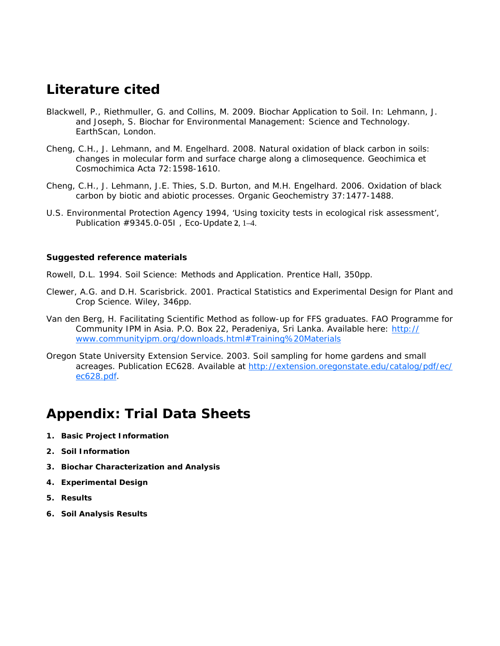### **Literature cited**

- Blackwell, P., Riethmuller, G. and Collins, M. 2009. Biochar Application to Soil. In: Lehmann, J. and Joseph, S. Biochar for Environmental Management: Science and Technology. EarthScan, London.
- Cheng, C.H., J. Lehmann, and M. Engelhard. 2008. Natural oxidation of black carbon in soils: changes in molecular form and surface charge along a climosequence. Geochimica et Cosmochimica Acta 72:1598-1610.
- Cheng, C.H., J. Lehmann, J.E. Thies, S.D. Burton, and M.H. Engelhard. 2006. Oxidation of black carbon by biotic and abiotic processes. Organic Geochemistry 37:1477-1488.
- U.S. Environmental Protection Agency 1994, 'Using toxicity tests in ecological risk assessment', Publication #9345.0-05I , Eco-Update **2**, 1–4.

#### **Suggested reference materials**

Rowell, D.L. 1994. Soil Science: Methods and Application. Prentice Hall, 350pp.

- Clewer, A.G. and D.H. Scarisbrick. 2001. Practical Statistics and Experimental Design for Plant and Crop Science. Wiley, 346pp.
- Van den Berg, H. Facilitating Scientific Method as follow-up for FFS graduates. FAO Programme for Community IPM in Asia. P.O. Box 22, Peradeniya, Sri Lanka. Available here: http:// www.communityipm.org/downloads.html#Training%20Materials
- Oregon State University Extension Service. 2003. Soil sampling for home gardens and small acreages. Publication EC628. Available at http://extension.oregonstate.edu/catalog/pdf/ec/ ec628.pdf.

### **Appendix: Trial Data Sheets**

- **1. Basic Project Information**
- **2. Soil Information**
- **3. Biochar Characterization and Analysis**
- **4. Experimental Design**
- **5. Results**
- **6. Soil Analysis Results**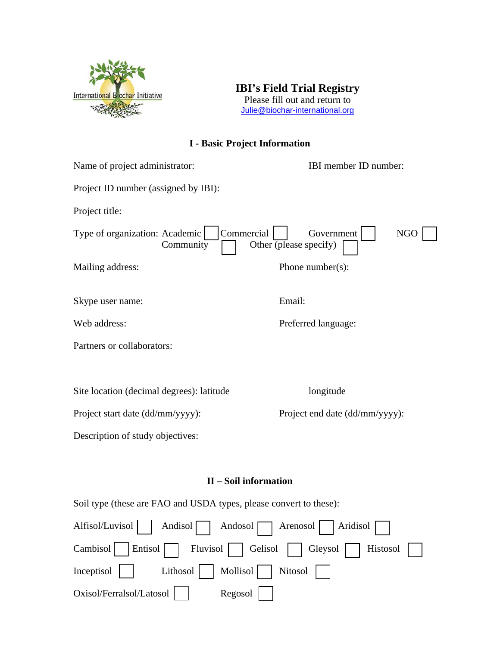

**IBI's Field Trial Registry**  Please fill out and return to [Julie@biochar-international.org](mailto:Julie@biochar-international.org)

#### **I - Basic Project Information**

| Name of project administrator:              | IBI member ID number:                                            |  |
|---------------------------------------------|------------------------------------------------------------------|--|
| Project ID number (assigned by IBI):        |                                                                  |  |
| Project title:                              |                                                                  |  |
| Type of organization: Academic<br>Community | Commercial<br>Government<br><b>NGO</b><br>Other (please specify) |  |
| Mailing address:                            | Phone number( $s$ ):                                             |  |
| Skype user name:                            | Email:                                                           |  |
| Web address:                                | Preferred language:                                              |  |
| Partners or collaborators:                  |                                                                  |  |
|                                             |                                                                  |  |
| Site location (decimal degrees): latitude   | longitude                                                        |  |
| Project start date (dd/mm/yyyy):            | Project end date (dd/mm/yyyy):                                   |  |
| Description of study objectives:            |                                                                  |  |
|                                             |                                                                  |  |

#### **II – Soil information**

Soil type (these are FAO and USDA types, please convert to these):

| Alfisol/Luvisol   Andisol   Andosol   Arenosol   Aridisol |
|-----------------------------------------------------------|
| Cambisol Entisol Fluvisol Gelisol Gleysol Histosol        |
| Inceptisol   Lithosol   Mollisol   Nitosol                |
| Oxisol/Ferralsol/Latosol     Regosol                      |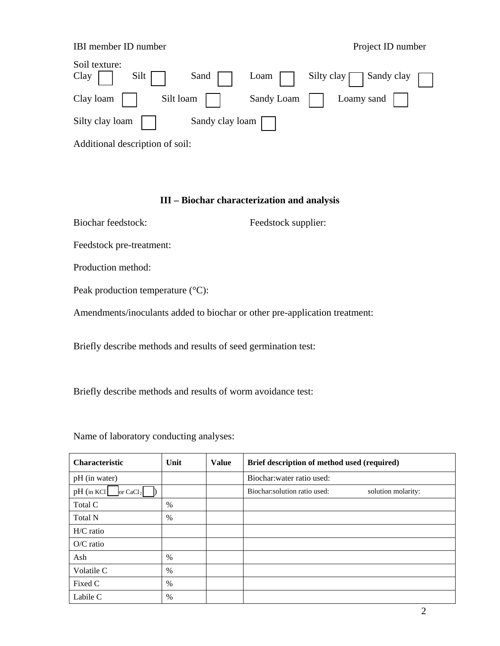#### IBI member ID number **Project ID** number

| Soil texture:<br>Clay<br>Silt $\lceil \cdot \rceil$<br>Sand | Loam Silty clay $\Box$ Sandy clay $\Box$ |
|-------------------------------------------------------------|------------------------------------------|
| $Clay loan$  <br>Silt loam                                  | Sandy Loam     Loamy sand                |
| Silty clay loam<br>Sandy clay loam $\Box$                   |                                          |

Additional description of soil:

#### **III – Biochar characterization and analysis**

Biochar feedstock: Feedstock supplier:

Feedstock pre-treatment:

Production method:

Peak production temperature (°C):

Amendments/inoculants added to biochar or other pre-application treatment:

Briefly describe methods and results of seed germination test:

Briefly describe methods and results of worm avoidance test:

Name of laboratory conducting analyses:

| <b>Characteristic</b>    | Unit          | <b>Value</b> | Brief description of method used (required)         |
|--------------------------|---------------|--------------|-----------------------------------------------------|
| pH (in water)            |               |              | Biochar: water ratio used:                          |
| pH (in KCl<br>or $CaCl2$ |               |              | Biochar: solution ratio used:<br>solution molarity: |
| Total C                  | $\%$          |              |                                                     |
| Total N                  | $\frac{0}{0}$ |              |                                                     |
| $H/C$ ratio              |               |              |                                                     |
| $O/C$ ratio              |               |              |                                                     |
| Ash                      | $\%$          |              |                                                     |
| Volatile C               | $\%$          |              |                                                     |
| Fixed C                  | $\%$          |              |                                                     |
| Labile C                 | %             |              |                                                     |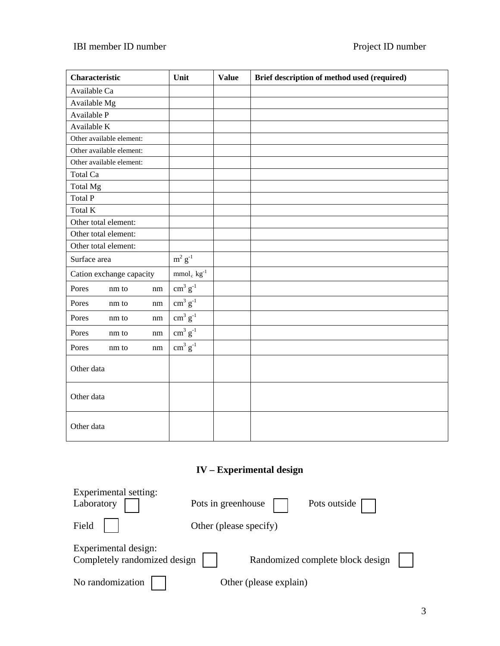### IBI member ID number **Project ID number** Project ID number

| Characteristic           | Unit                                                     | <b>Value</b> | Brief description of method used (required) |
|--------------------------|----------------------------------------------------------|--------------|---------------------------------------------|
| Available Ca             |                                                          |              |                                             |
| Available Mg             |                                                          |              |                                             |
| Available P              |                                                          |              |                                             |
| Available K              |                                                          |              |                                             |
| Other available element: |                                                          |              |                                             |
| Other available element: |                                                          |              |                                             |
| Other available element: |                                                          |              |                                             |
| Total Ca                 |                                                          |              |                                             |
| Total Mg                 |                                                          |              |                                             |
| <b>Total P</b>           |                                                          |              |                                             |
| Total K                  |                                                          |              |                                             |
| Other total element:     |                                                          |              |                                             |
| Other total element:     |                                                          |              |                                             |
| Other total element:     |                                                          |              |                                             |
| Surface area             | $m^2$ $g^{-1}$                                           |              |                                             |
| Cation exchange capacity | $\mathrm{mmol}_{\,\mathrm{c}}$ $\mathrm{kg}^{\text{-1}}$ |              |                                             |
| Pores<br>nm to<br>nm     | $\text{cm}^3 \text{ g}^{-1}$                             |              |                                             |
| Pores<br>nm to<br>nm     | $\text{cm}^3 \text{ g}^{-1}$                             |              |                                             |
| Pores<br>nm to<br>nm     | $\text{cm}^3 \text{ g}^{-1}$                             |              |                                             |
| Pores<br>nm to<br>nm     | $\text{cm}^3 \text{ g}^{-1}$                             |              |                                             |
| Pores<br>nm to<br>nm     | $\text{cm}^3 \text{ g}^{-1}$                             |              |                                             |
| Other data               |                                                          |              |                                             |
| Other data               |                                                          |              |                                             |
| Other data               |                                                          |              |                                             |

### **IV – Experimental design**

| Experimental setting:                                |                                    |  |
|------------------------------------------------------|------------------------------------|--|
| Laboratory                                           | Pots in greenhouse<br>Pots outside |  |
| Field                                                | Other (please specify)             |  |
| Experimental design:<br>Completely randomized design | Randomized complete block design   |  |
| No randomization                                     | Other (please explain)             |  |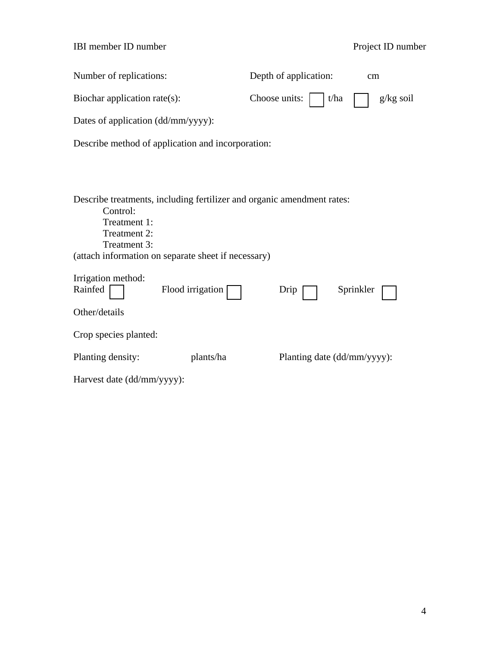| <b>IBI</b> member <b>ID</b> number |  |  |
|------------------------------------|--|--|
|------------------------------------|--|--|

### Project ID number

| Number of replications:                                                                                                                                                                   | Depth of application:       | cm          |
|-------------------------------------------------------------------------------------------------------------------------------------------------------------------------------------------|-----------------------------|-------------|
| Biochar application rate(s):                                                                                                                                                              | Choose units:<br>t/ha       | $g/kg$ soil |
| Dates of application (dd/mm/yyyy):                                                                                                                                                        |                             |             |
| Describe method of application and incorporation:                                                                                                                                         |                             |             |
|                                                                                                                                                                                           |                             |             |
| Describe treatments, including fertilizer and organic amendment rates:<br>Control:<br>Treatment 1:<br>Treatment 2:<br>Treatment 3:<br>(attach information on separate sheet if necessary) |                             |             |
| Irrigation method:<br>Flood irrigation<br>Rainfed<br>Other/details                                                                                                                        | Sprinkler<br>Drip           |             |
|                                                                                                                                                                                           |                             |             |
| Crop species planted:                                                                                                                                                                     |                             |             |
| Planting density:<br>plants/ha                                                                                                                                                            | Planting date (dd/mm/yyyy): |             |
| Harvest date (dd/mm/yyyy):                                                                                                                                                                |                             |             |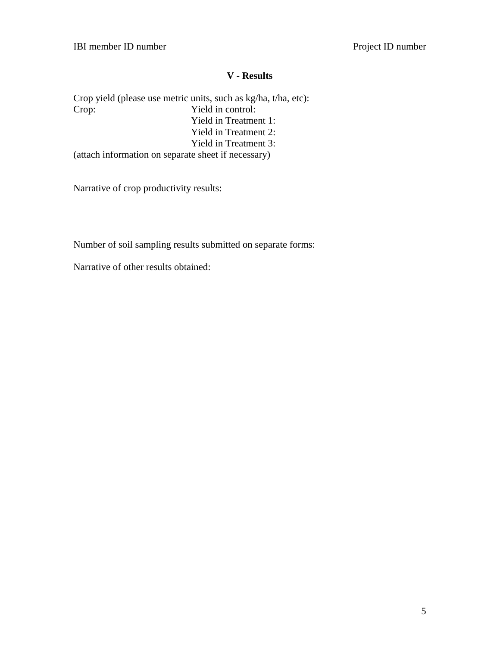#### **V - Results**

Crop yield (please use metric units, such as kg/ha, t/ha, etc):<br>Crop: Yield in control: Yield in control: Yield in Treatment 1: Yield in Treatment 2: Yield in Treatment 3: (attach information on separate sheet if necessary)

Narrative of crop productivity results:

Number of soil sampling results submitted on separate forms:

Narrative of other results obtained: